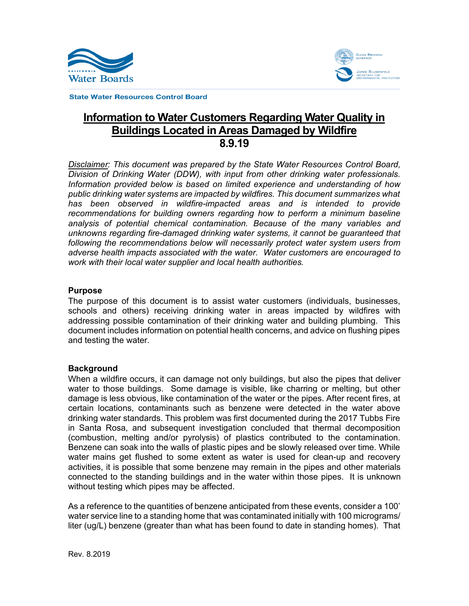



**State Water Resources Control Board** 

# Information to Water Customers Regarding Water Quality in Buildings Located in Areas Damaged by Wildfire 8.9.19

*Disclaimer: This document was prepared by the State Water Resources Control Board, Division of Drinking Water (DDW), with input from other drinking water professionals. Information provided below is based on limited experience and understanding of how public drinking water systems are impacted by wildfires. This document summarizes what has been observed in wildfire-impacted areas and is intended to provide recommendations for building owners regarding how to perform a minimum baseline analysis of potential chemical contamination. Because of the many variables and unknowns regarding fire-damaged drinking water systems, it cannot be guaranteed that following the recommendations below will necessarily protect water system users from adverse health impacts associated with the water. Water customers are encouraged to work with their local water supplier and local health authorities.*

#### **Purpose**

The purpose of this document is to assist water customers (individuals, businesses, schools and others) receiving drinking water in areas impacted by wildfires with addressing possible contamination of their drinking water and building plumbing. This document includes information on potential health concerns, and advice on flushing pipes and testing the water.

# **Background**

When a wildfire occurs, it can damage not only buildings, but also the pipes that deliver water to those buildings. Some damage is visible, like charring or melting, but other damage is less obvious, like contamination of the water or the pipes. After recent fires, at certain locations, contaminants such as benzene were detected in the water above drinking water standards. This problem was first documented during the 2017 Tubbs Fire in Santa Rosa, and subsequent investigation concluded that thermal decomposition (combustion, melting and/or pyrolysis) of plastics contributed to the contamination. Benzene can soak into the walls of plastic pipes and be slowly released over time. While water mains get flushed to some extent as water is used for clean-up and recovery activities, it is possible that some benzene may remain in the pipes and other materials connected to the standing buildings and in the water within those pipes. It is unknown without testing which pipes may be affected.

As a reference to the quantities of benzene anticipated from these events, consider a 100' water service line to a standing home that was contaminated initially with 100 micrograms/ liter (ug/L) benzene (greater than what has been found to date in standing homes). That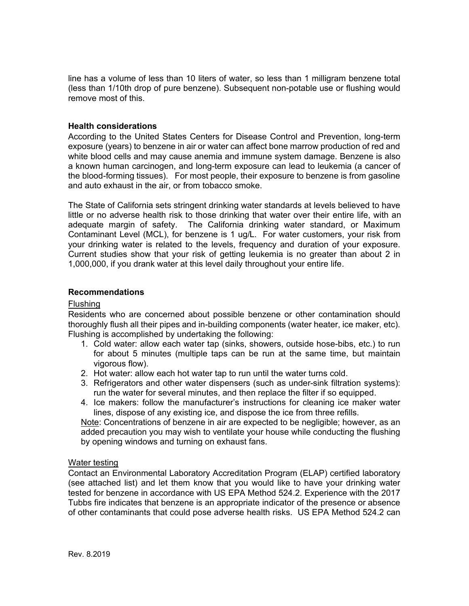line has a volume of less than 10 liters of water, so less than 1 milligram benzene total (less than 1/10th drop of pure benzene). Subsequent non-potable use or flushing would remove most of this.

## **Health considerations**

According to the United States Centers for Disease Control and Prevention, long-term exposure (years) to benzene in air or water can affect bone marrow production of red and white blood cells and may cause anemia and immune system damage. Benzene is also a known human carcinogen, and long-term exposure can lead to leukemia (a cancer of the blood-forming tissues). For most people, their exposure to benzene is from gasoline and auto exhaust in the air, or from tobacco smoke.

The State of California sets stringent drinking water standards at levels believed to have little or no adverse health risk to those drinking that water over their entire life, with an adequate margin of safety. The California drinking water standard, or Maximum Contaminant Level (MCL), for benzene is 1 ug/L. For water customers, your risk from your drinking water is related to the levels, frequency and duration of your exposure. Current studies show that your risk of getting leukemia is no greater than about 2 in 1,000,000, if you drank water at this level daily throughout your entire life.

## **Recommendations**

#### Flushing

Residents who are concerned about possible benzene or other contamination should thoroughly flush all their pipes and in-building components (water heater, ice maker, etc). Flushing is accomplished by undertaking the following:

- 1. Cold water: allow each water tap (sinks, showers, outside hose-bibs, etc.) to run for about 5 minutes (multiple taps can be run at the same time, but maintain vigorous flow).
- 2. Hot water: allow each hot water tap to run until the water turns cold.
- 3. Refrigerators and other water dispensers (such as under-sink filtration systems): run the water for several minutes, and then replace the filter if so equipped.
- 4. Ice makers: follow the manufacturer's instructions for cleaning ice maker water lines, dispose of any existing ice, and dispose the ice from three refills.

Note: Concentrations of benzene in air are expected to be negligible; however, as an added precaution you may wish to ventilate your house while conducting the flushing by opening windows and turning on exhaust fans.

# Water testing

Contact an Environmental Laboratory Accreditation Program (ELAP) certified laboratory (see attached list) and let them know that you would like to have your drinking water tested for benzene in accordance with US EPA Method 524.2. Experience with the 2017 Tubbs fire indicates that benzene is an appropriate indicator of the presence or absence of other contaminants that could pose adverse health risks. US EPA Method 524.2 can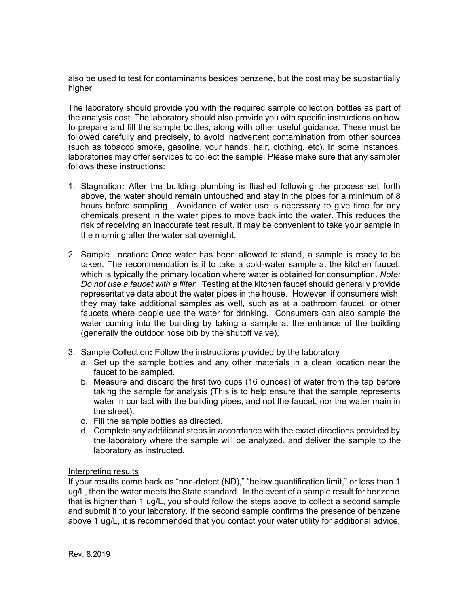also be used to test for contaminants besides benzene, but the cost may be substantially higher.

The laboratory should provide you with the required sample collection bottles as part of the analysis cost. The laboratory should also provide you with specific instructions on how to prepare and fill the sample bottles, along with other useful guidance. These must be followed carefully and precisely, to avoid inadvertent contamination from other sources (such as tobacco smoke, gasoline, your hands, hair, clothing, etc). In some instances, laboratories may offer services to collect the sample. Please make sure that any sampler follows these instructions:

- 1. Stagnation**:** After the building plumbing is flushed following the process set forth above, the water should remain untouched and stay in the pipes for a minimum of 8 hours before sampling. Avoidance of water use is necessary to give time for any chemicals present in the water pipes to move back into the water. This reduces the risk of receiving an inaccurate test result. It may be convenient to take your sample in the morning after the water sat overnight.
- 2. Sample Location**:** Once water has been allowed to stand, a sample is ready to be taken. The recommendation is it to take a cold-water sample at the kitchen faucet, which is typically the primary location where water is obtained for consumption. *Note: Do not use a faucet with a filter.* Testing at the kitchen faucet should generally provide representative data about the water pipes in the house. However, if consumers wish, they may take additional samples as well, such as at a bathroom faucet, or other faucets where people use the water for drinking. Consumers can also sample the water coming into the building by taking a sample at the entrance of the building (generally the outdoor hose bib by the shutoff valve).
- 3. Sample Collection**:** Follow the instructions provided by the laboratory
	- a. Set up the sample bottles and any other materials in a clean location near the faucet to be sampled.
	- b. Measure and discard the first two cups (16 ounces) of water from the tap before taking the sample for analysis (This is to help ensure that the sample represents water in contact with the building pipes, and not the faucet, nor the water main in the street).
	- c. Fill the sample bottles as directed.
	- d. Complete any additional steps in accordance with the exact directions provided by the laboratory where the sample will be analyzed, and deliver the sample to the laboratory as instructed.

#### Interpreting results

If your results come back as "non-detect (ND)," "below quantification limit," or less than 1 ug/L, then the water meets the State standard. In the event of a sample result for benzene that is higher than 1 ug/L, you should follow the steps above to collect a second sample and submit it to your laboratory. If the second sample confirms the presence of benzene above 1 ug/L, it is recommended that you contact your water utility for additional advice,